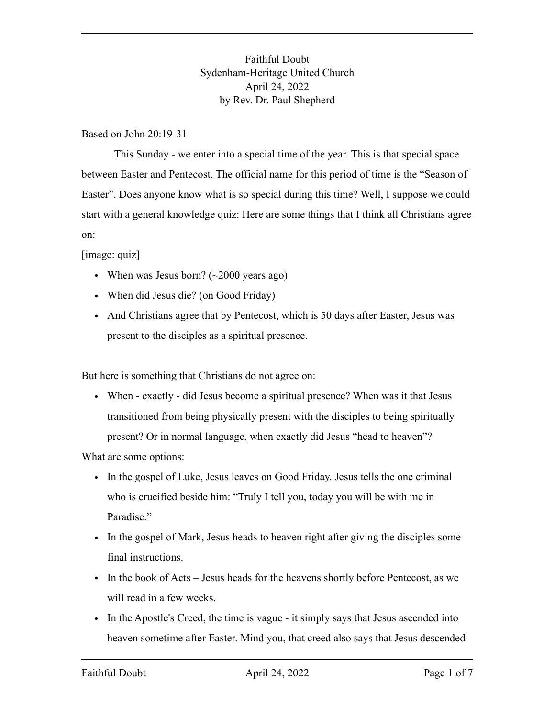Faithful Doubt Sydenham-Heritage United Church April 24, 2022 by Rev. Dr. Paul Shepherd

Based on John 20:19-31

This Sunday - we enter into a special time of the year. This is that special space between Easter and Pentecost. The official name for this period of time is the "Season of Easter". Does anyone know what is so special during this time? Well, I suppose we could start with a general knowledge quiz: Here are some things that I think all Christians agree on:

[image: quiz]

- When was Jesus born?  $(\sim 2000 \text{ years ago})$
- When did Jesus die? (on Good Friday)
- And Christians agree that by Pentecost, which is 50 days after Easter, Jesus was present to the disciples as a spiritual presence.

But here is something that Christians do not agree on:

• When - exactly - did Jesus become a spiritual presence? When was it that Jesus transitioned from being physically present with the disciples to being spiritually present? Or in normal language, when exactly did Jesus "head to heaven"?

What are some options:

- In the gospel of Luke, Jesus leaves on Good Friday. Jesus tells the one criminal who is crucified beside him: "Truly I tell you, today you will be with me in Paradise."
- In the gospel of Mark, Jesus heads to heaven right after giving the disciples some final instructions.
- In the book of Acts Jesus heads for the heavens shortly before Pentecost, as we will read in a few weeks.
- In the Apostle's Creed, the time is vague it simply says that Jesus ascended into heaven sometime after Easter. Mind you, that creed also says that Jesus descended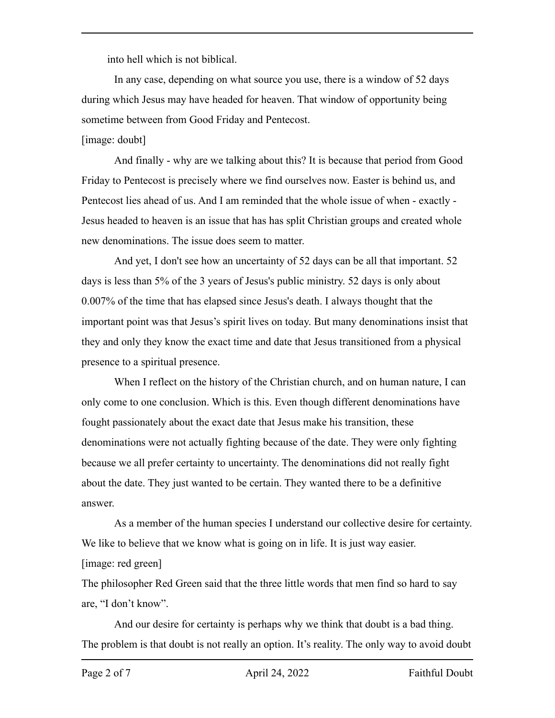into hell which is not biblical.

In any case, depending on what source you use, there is a window of 52 days during which Jesus may have headed for heaven. That window of opportunity being sometime between from Good Friday and Pentecost.

## [image: doubt]

And finally - why are we talking about this? It is because that period from Good Friday to Pentecost is precisely where we find ourselves now. Easter is behind us, and Pentecost lies ahead of us. And I am reminded that the whole issue of when - exactly - Jesus headed to heaven is an issue that has has split Christian groups and created whole new denominations. The issue does seem to matter.

And yet, I don't see how an uncertainty of 52 days can be all that important. 52 days is less than 5% of the 3 years of Jesus's public ministry. 52 days is only about 0.007% of the time that has elapsed since Jesus's death. I always thought that the important point was that Jesus's spirit lives on today. But many denominations insist that they and only they know the exact time and date that Jesus transitioned from a physical presence to a spiritual presence.

When I reflect on the history of the Christian church, and on human nature, I can only come to one conclusion. Which is this. Even though different denominations have fought passionately about the exact date that Jesus make his transition, these denominations were not actually fighting because of the date. They were only fighting because we all prefer certainty to uncertainty. The denominations did not really fight about the date. They just wanted to be certain. They wanted there to be a definitive answer.

As a member of the human species I understand our collective desire for certainty. We like to believe that we know what is going on in life. It is just way easier. [image: red green]

The philosopher Red Green said that the three little words that men find so hard to say are, "I don't know".

And our desire for certainty is perhaps why we think that doubt is a bad thing. The problem is that doubt is not really an option. It's reality. The only way to avoid doubt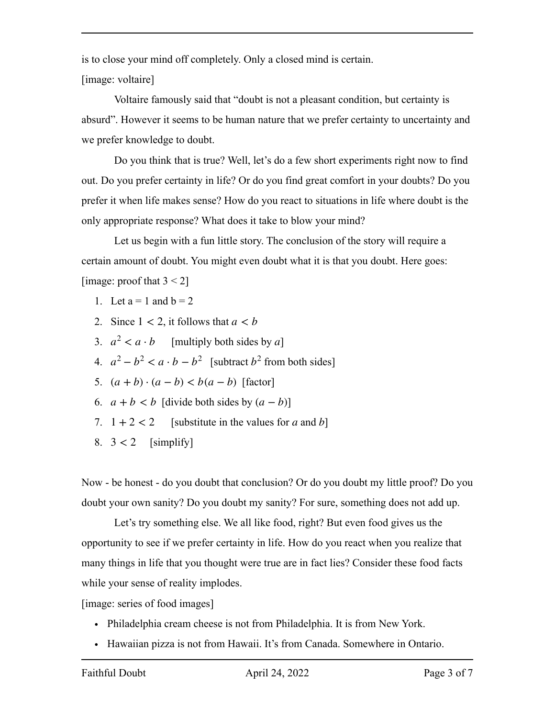is to close your mind off completely. Only a closed mind is certain.

[image: voltaire]

Voltaire famously said that "doubt is not a pleasant condition, but certainty is absurd". However it seems to be human nature that we prefer certainty to uncertainty and we prefer knowledge to doubt.

Do you think that is true? Well, let's do a few short experiments right now to find out. Do you prefer certainty in life? Or do you find great comfort in your doubts? Do you prefer it when life makes sense? How do you react to situations in life where doubt is the only appropriate response? What does it take to blow your mind?

Let us begin with a fun little story. The conclusion of the story will require a certain amount of doubt. You might even doubt what it is that you doubt. Here goes: [image: proof that  $3 < 2$ ]

- 1. Let  $a = 1$  and  $b = 2$
- 2. Since  $1 < 2$ , it follows that  $a < b$
- 3.  $a^2 < a \cdot b$  [multiply both sides by *a*]
- 4.  $a^2 b^2 < a \cdot b b^2$  [subtract  $b^2$  from both sides]
- 5.  $(a + b) \cdot (a b) < b(a b)$  [factor]
- 6.  $a + b < b$  [divide both sides by  $(a b)$ ]
- 7.  $1 + 2 < 2$  [substitute in the values for a and b]
- 8.  $3 < 2$  [simplify]

Now - be honest - do you doubt that conclusion? Or do you doubt my little proof? Do you doubt your own sanity? Do you doubt my sanity? For sure, something does not add up.

Let's try something else. We all like food, right? But even food gives us the opportunity to see if we prefer certainty in life. How do you react when you realize that many things in life that you thought were true are in fact lies? Consider these food facts while your sense of reality implodes.

[image: series of food images]

- Philadelphia cream cheese is not from Philadelphia. It is from New York.
- Hawaiian pizza is not from Hawaii. It's from Canada. Somewhere in Ontario.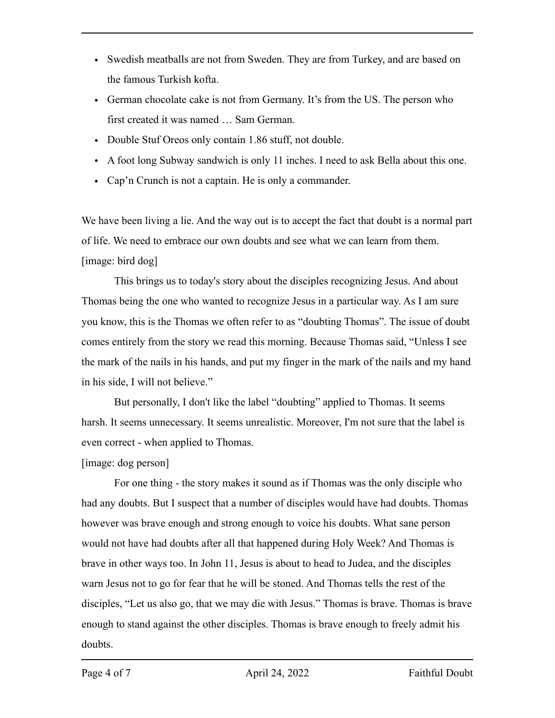- Swedish meatballs are not from Sweden. They are from Turkey, and are based on the famous Turkish kofta.
- German chocolate cake is not from Germany. It's from the US. The person who first created it was named … Sam German.
- Double Stuf Oreos only contain 1.86 stuff, not double.
- A foot long Subway sandwich is only 11 inches. I need to ask Bella about this one.
- Cap'n Crunch is not a captain. He is only a commander.

We have been living a lie. And the way out is to accept the fact that doubt is a normal part of life. We need to embrace our own doubts and see what we can learn from them. [image: bird dog]

This brings us to today's story about the disciples recognizing Jesus. And about Thomas being the one who wanted to recognize Jesus in a particular way. As I am sure you know, this is the Thomas we often refer to as "doubting Thomas". The issue of doubt comes entirely from the story we read this morning. Because Thomas said, "Unless I see the mark of the nails in his hands, and put my finger in the mark of the nails and my hand in his side, I will not believe."

But personally, I don't like the label "doubting" applied to Thomas. It seems harsh. It seems unnecessary. It seems unrealistic. Moreover, I'm not sure that the label is even correct - when applied to Thomas.

[image: dog person]

For one thing - the story makes it sound as if Thomas was the only disciple who had any doubts. But I suspect that a number of disciples would have had doubts. Thomas however was brave enough and strong enough to voice his doubts. What sane person would not have had doubts after all that happened during Holy Week? And Thomas is brave in other ways too. In John 11, Jesus is about to head to Judea, and the disciples warn Jesus not to go for fear that he will be stoned. And Thomas tells the rest of the disciples, "Let us also go, that we may die with Jesus." Thomas is brave. Thomas is brave enough to stand against the other disciples. Thomas is brave enough to freely admit his doubts.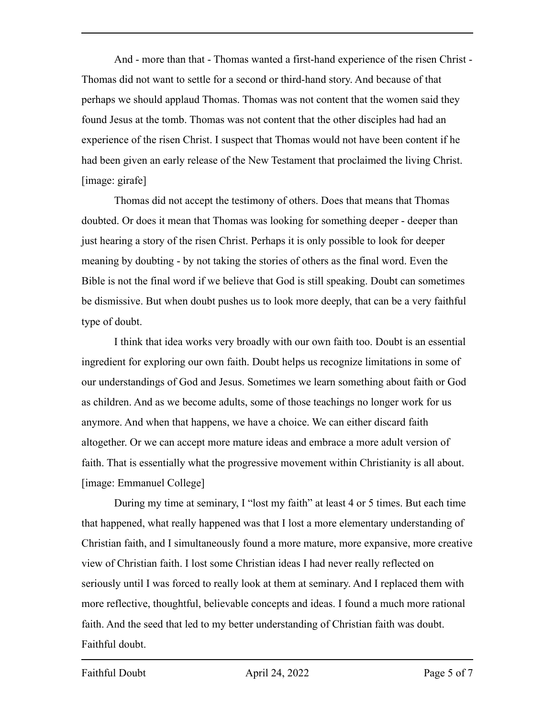And - more than that - Thomas wanted a first-hand experience of the risen Christ - Thomas did not want to settle for a second or third-hand story. And because of that perhaps we should applaud Thomas. Thomas was not content that the women said they found Jesus at the tomb. Thomas was not content that the other disciples had had an experience of the risen Christ. I suspect that Thomas would not have been content if he had been given an early release of the New Testament that proclaimed the living Christ. [image: girafe]

Thomas did not accept the testimony of others. Does that means that Thomas doubted. Or does it mean that Thomas was looking for something deeper - deeper than just hearing a story of the risen Christ. Perhaps it is only possible to look for deeper meaning by doubting - by not taking the stories of others as the final word. Even the Bible is not the final word if we believe that God is still speaking. Doubt can sometimes be dismissive. But when doubt pushes us to look more deeply, that can be a very faithful type of doubt.

I think that idea works very broadly with our own faith too. Doubt is an essential ingredient for exploring our own faith. Doubt helps us recognize limitations in some of our understandings of God and Jesus. Sometimes we learn something about faith or God as children. And as we become adults, some of those teachings no longer work for us anymore. And when that happens, we have a choice. We can either discard faith altogether. Or we can accept more mature ideas and embrace a more adult version of faith. That is essentially what the progressive movement within Christianity is all about. [image: Emmanuel College]

During my time at seminary, I "lost my faith" at least 4 or 5 times. But each time that happened, what really happened was that I lost a more elementary understanding of Christian faith, and I simultaneously found a more mature, more expansive, more creative view of Christian faith. I lost some Christian ideas I had never really reflected on seriously until I was forced to really look at them at seminary. And I replaced them with more reflective, thoughtful, believable concepts and ideas. I found a much more rational faith. And the seed that led to my better understanding of Christian faith was doubt. Faithful doubt.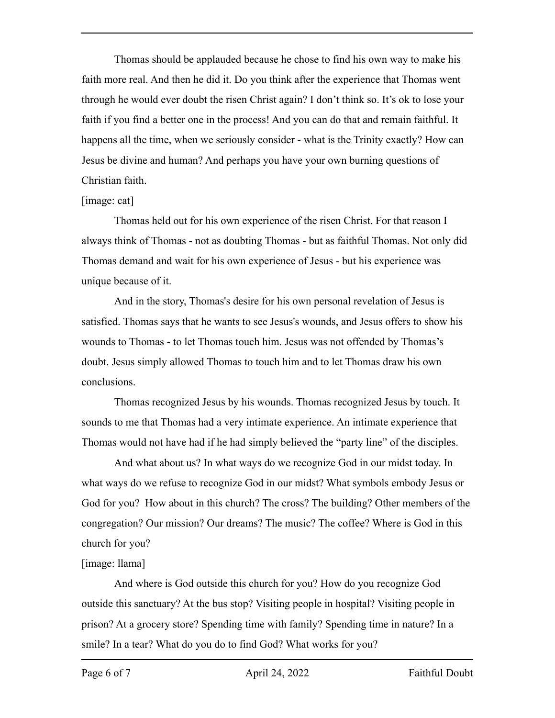Thomas should be applauded because he chose to find his own way to make his faith more real. And then he did it. Do you think after the experience that Thomas went through he would ever doubt the risen Christ again? I don't think so. It's ok to lose your faith if you find a better one in the process! And you can do that and remain faithful. It happens all the time, when we seriously consider - what is the Trinity exactly? How can Jesus be divine and human? And perhaps you have your own burning questions of Christian faith.

## [image: cat]

Thomas held out for his own experience of the risen Christ. For that reason I always think of Thomas - not as doubting Thomas - but as faithful Thomas. Not only did Thomas demand and wait for his own experience of Jesus - but his experience was unique because of it.

And in the story, Thomas's desire for his own personal revelation of Jesus is satisfied. Thomas says that he wants to see Jesus's wounds, and Jesus offers to show his wounds to Thomas - to let Thomas touch him. Jesus was not offended by Thomas's doubt. Jesus simply allowed Thomas to touch him and to let Thomas draw his own conclusions.

Thomas recognized Jesus by his wounds. Thomas recognized Jesus by touch. It sounds to me that Thomas had a very intimate experience. An intimate experience that Thomas would not have had if he had simply believed the "party line" of the disciples.

And what about us? In what ways do we recognize God in our midst today. In what ways do we refuse to recognize God in our midst? What symbols embody Jesus or God for you? How about in this church? The cross? The building? Other members of the congregation? Our mission? Our dreams? The music? The coffee? Where is God in this church for you?

## [image: llama]

And where is God outside this church for you? How do you recognize God outside this sanctuary? At the bus stop? Visiting people in hospital? Visiting people in prison? At a grocery store? Spending time with family? Spending time in nature? In a smile? In a tear? What do you do to find God? What works for you?